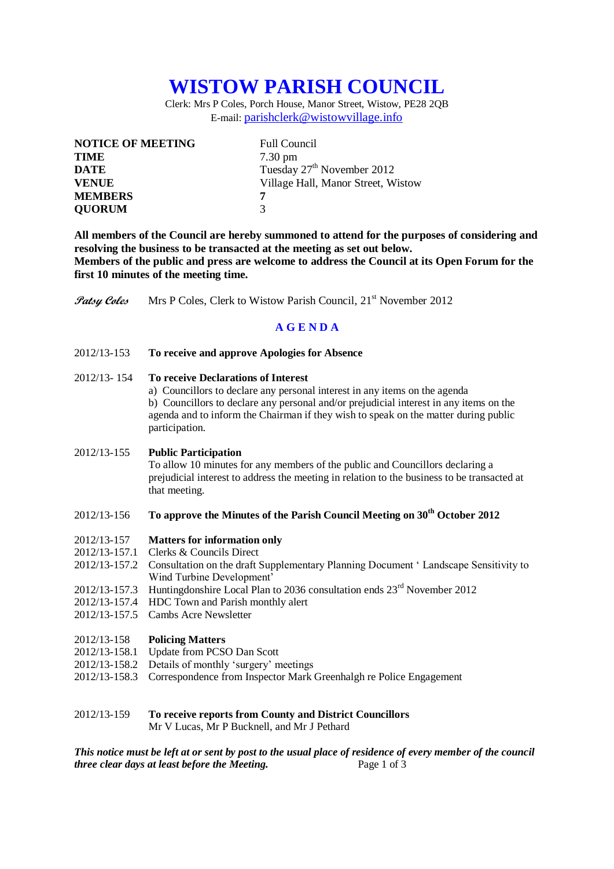# **WISTOW PARISH COUNCIL**

Clerk: Mrs P Coles, Porch House, Manor Street, Wistow, PE28 2QB E-mail: [parishclerk@wistowvillage.info](mailto:parishclerk@wistowvillage.info)

| <b>NOTICE OF MEETING</b> | <b>Full Council</b>                    |
|--------------------------|----------------------------------------|
| <b>TIME</b>              | $7.30 \text{ pm}$                      |
| <b>DATE</b>              | Tuesday 27 <sup>th</sup> November 2012 |
| <b>VENUE</b>             | Village Hall, Manor Street, Wistow     |
| <b>MEMBERS</b>           | 7                                      |
| <b>QUORUM</b>            | 3                                      |

**All members of the Council are hereby summoned to attend for the purposes of considering and resolving the business to be transacted at the meeting as set out below. Members of the public and press are welcome to address the Council at its Open Forum for the first 10 minutes of the meeting time.**

**Patsy Coles** Mrs P Coles, Clerk to Wistow Parish Council, 21<sup>st</sup> November 2012

## **A G E N D A**

2012/13-153 **To receive and approve Apologies for Absence**

## 2012/13- 154 **To receive Declarations of Interest**

a) Councillors to declare any personal interest in any items on the agenda b) Councillors to declare any personal and/or prejudicial interest in any items on the agenda and to inform the Chairman if they wish to speak on the matter during public participation.

#### 2012/13-155 **Public Participation**

To allow 10 minutes for any members of the public and Councillors declaring a prejudicial interest to address the meeting in relation to the business to be transacted at that meeting.

# 2012/13-156 **To approve the Minutes of the Parish Council Meeting on 30th October 2012**

- 2012/13-157 **Matters for information only**
- 2012/13-157.1 Clerks & Councils Direct
- 2012/13-157.2 Consultation on the draft Supplementary Planning Document ' Landscape Sensitivity to Wind Turbine Development'
- 2012/13-157.3 Huntingdonshire Local Plan to 2036 consultation ends 23<sup>rd</sup> November 2012
- 2012/13-157.4 HDC Town and Parish monthly alert
- 2012/13-157.5 Cambs Acre Newsletter

#### 2012/13-158 **Policing Matters**

- 2012/13-158.1 Update from PCSO Dan Scott
- 2012/13-158.2 Details of monthly 'surgery' meetings
- 2012/13-158.3 Correspondence from Inspector Mark Greenhalgh re Police Engagement

## 2012/13-159 **To receive reports from County and District Councillors** Mr V Lucas, Mr P Bucknell, and Mr J Pethard

*This notice must be left at or sent by post to the usual place of residence of every member of the council three clear days at least before the Meeting.* Page 1 of 3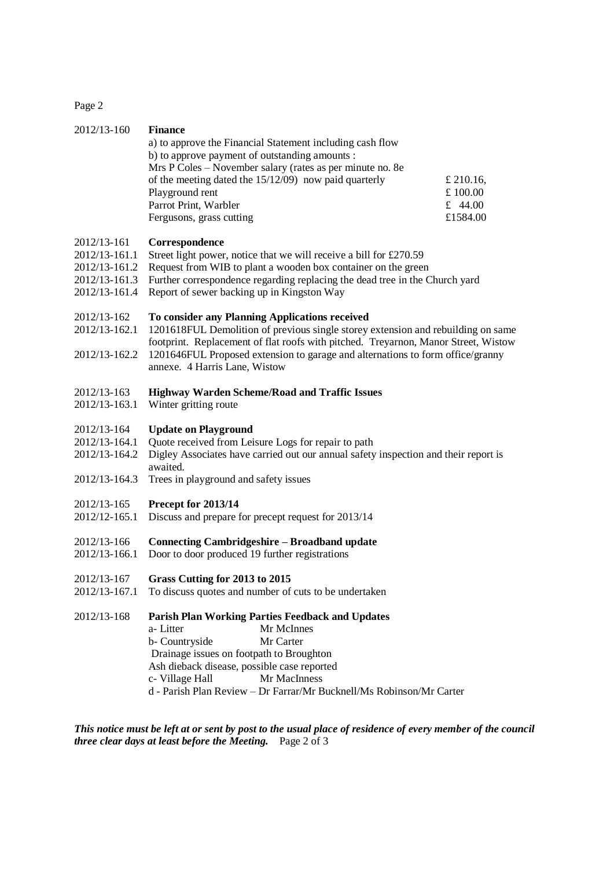Page 2

| 2012/13-160                                                                     | <b>Finance</b><br>a) to approve the Financial Statement including cash flow<br>b) to approve payment of outstanding amounts :<br>Mrs P Coles – November salary (rates as per minute no. 8e<br>of the meeting dated the $15/12/09$ ) now paid quarterly<br>Playground rent<br>Parrot Print, Warbler<br>Fergusons, grass cutting              | £ 210.16,<br>£100.00<br>£ 44.00<br>£1584.00 |
|---------------------------------------------------------------------------------|---------------------------------------------------------------------------------------------------------------------------------------------------------------------------------------------------------------------------------------------------------------------------------------------------------------------------------------------|---------------------------------------------|
| 2012/13-161<br>2012/13-161.1<br>2012/13-161.2<br>2012/13-161.3<br>2012/13-161.4 | Correspondence<br>Street light power, notice that we will receive a bill for £270.59<br>Request from WIB to plant a wooden box container on the green<br>Further correspondence regarding replacing the dead tree in the Church yard<br>Report of sewer backing up in Kingston Way                                                          |                                             |
| 2012/13-162<br>2012/13-162.1<br>2012/13-162.2                                   | To consider any Planning Applications received<br>1201618FUL Demolition of previous single storey extension and rebuilding on same<br>footprint. Replacement of flat roofs with pitched. Treyarnon, Manor Street, Wistow<br>1201646FUL Proposed extension to garage and alternations to form office/granny<br>annexe. 4 Harris Lane, Wistow |                                             |
| 2012/13-163<br>2012/13-163.1                                                    | <b>Highway Warden Scheme/Road and Traffic Issues</b><br>Winter gritting route                                                                                                                                                                                                                                                               |                                             |
| 2012/13-164<br>2012/13-164.1<br>2012/13-164.2<br>2012/13-164.3                  | <b>Update on Playground</b><br>Quote received from Leisure Logs for repair to path<br>Digley Associates have carried out our annual safety inspection and their report is<br>awaited.<br>Trees in playground and safety issues                                                                                                              |                                             |
| 2012/13-165<br>2012/12-165.1                                                    | Precept for 2013/14<br>Discuss and prepare for precept request for 2013/14                                                                                                                                                                                                                                                                  |                                             |
| 2012/13-166<br>2012/13-166.1                                                    | <b>Connecting Cambridgeshire - Broadband update</b><br>Door to door produced 19 further registrations                                                                                                                                                                                                                                       |                                             |
| 2012/13-167<br>2012/13-167.1                                                    | Grass Cutting for 2013 to 2015<br>To discuss quotes and number of cuts to be undertaken                                                                                                                                                                                                                                                     |                                             |
| 2012/13-168                                                                     | <b>Parish Plan Working Parties Feedback and Updates</b><br>a-Litter<br>Mr McInnes<br>b- Countryside<br>Mr Carter<br>Drainage issues on footpath to Broughton<br>Ash dieback disease, possible case reported<br>c- Village Hall<br>Mr MacInness<br>d - Parish Plan Review - Dr Farrar/Mr Bucknell/Ms Robinson/Mr Carter                      |                                             |

*This notice must be left at or sent by post to the usual place of residence of every member of the council three clear days at least before the Meeting.* Page 2 of 3